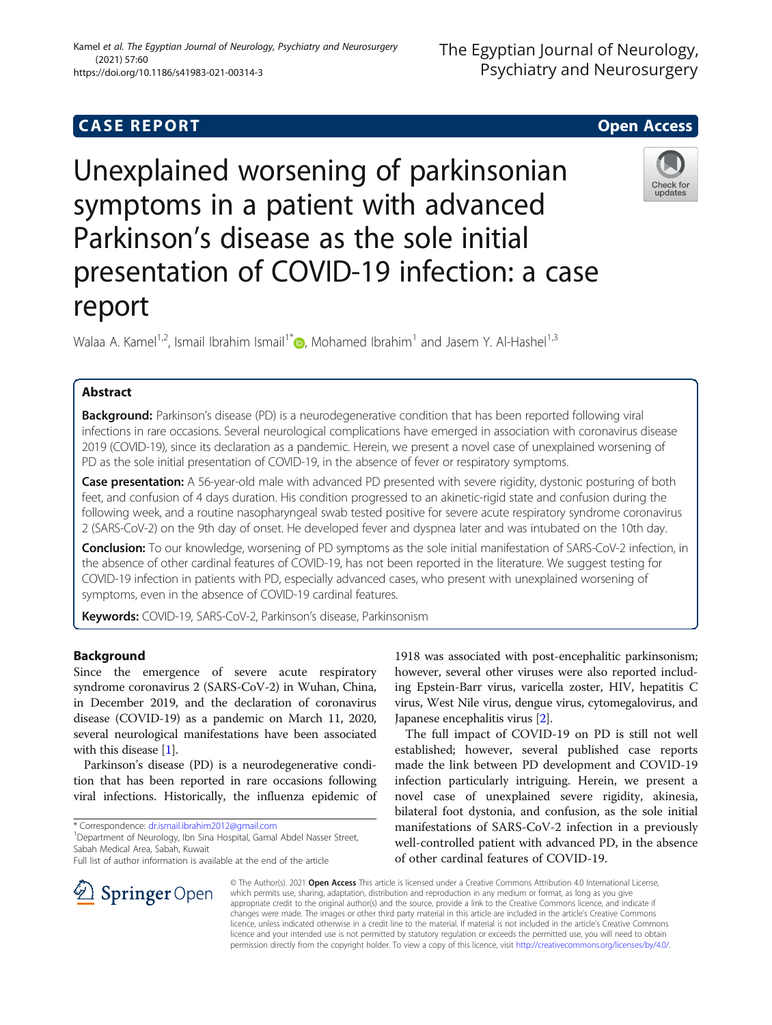## **CASE REPORT And SERVICE SERVICE SERVICE SERVICE SERVICE SERVICE SERVICE SERVICE SERVICE SERVICE SERVICE SERVICE**

# Unexplained worsening of parkinsonian symptoms in a patient with advanced Parkinson's disease as the sole initial presentation of COVID-19 infection: a case report

Walaa A. Kamel<sup>1,2</sup>, Ismail Ibrahim Ismail<sup>1\*</sup>  $\bullet$ , Mohamed Ibrahim<sup>1</sup> and Jasem Y. Al-Hashel<sup>1,3</sup>

## Abstract

Background: Parkinson's disease (PD) is a neurodegenerative condition that has been reported following viral infections in rare occasions. Several neurological complications have emerged in association with coronavirus disease 2019 (COVID-19), since its declaration as a pandemic. Herein, we present a novel case of unexplained worsening of PD as the sole initial presentation of COVID-19, in the absence of fever or respiratory symptoms.

Case presentation: A 56-year-old male with advanced PD presented with severe rigidity, dystonic posturing of both feet, and confusion of 4 days duration. His condition progressed to an akinetic-rigid state and confusion during the following week, and a routine nasopharyngeal swab tested positive for severe acute respiratory syndrome coronavirus 2 (SARS-CoV-2) on the 9th day of onset. He developed fever and dyspnea later and was intubated on the 10th day.

Conclusion: To our knowledge, worsening of PD symptoms as the sole initial manifestation of SARS-CoV-2 infection, in the absence of other cardinal features of COVID-19, has not been reported in the literature. We suggest testing for COVID-19 infection in patients with PD, especially advanced cases, who present with unexplained worsening of symptoms, even in the absence of COVID-19 cardinal features.

Keywords: COVID-19, SARS-CoV-2, Parkinson's disease, Parkinsonism

## Background

Since the emergence of severe acute respiratory syndrome coronavirus 2 (SARS-CoV-2) in Wuhan, China, in December 2019, and the declaration of coronavirus disease (COVID-19) as a pandemic on March 11, 2020, several neurological manifestations have been associated with this disease [[1](#page-2-0)].

Parkinson's disease (PD) is a neurodegenerative condition that has been reported in rare occasions following viral infections. Historically, the influenza epidemic of

\* Correspondence: [dr.ismail.ibrahim2012@gmail.com](mailto:dr.ismail.ibrahim2012@gmail.com) <sup>1</sup>

<sup>1</sup> Department of Neurology, Ibn Sina Hospital, Gamal Abdel Nasser Street, Sabah Medical Area, Sabah, Kuwait

Full list of author information is available at the end of the article

1918 was associated with post-encephalitic parkinsonism; however, several other viruses were also reported including Epstein-Barr virus, varicella zoster, HIV, hepatitis C virus, West Nile virus, dengue virus, cytomegalovirus, and Japanese encephalitis virus [[2](#page-2-0)].

The full impact of COVID-19 on PD is still not well established; however, several published case reports made the link between PD development and COVID-19 infection particularly intriguing. Herein, we present a novel case of unexplained severe rigidity, akinesia, bilateral foot dystonia, and confusion, as the sole initial manifestations of SARS-CoV-2 infection in a previously well-controlled patient with advanced PD, in the absence of other cardinal features of COVID-19.

© The Author(s). 2021 Open Access This article is licensed under a Creative Commons Attribution 4.0 International License, which permits use, sharing, adaptation, distribution and reproduction in any medium or format, as long as you give appropriate credit to the original author(s) and the source, provide a link to the Creative Commons licence, and indicate if changes were made. The images or other third party material in this article are included in the article's Creative Commons licence, unless indicated otherwise in a credit line to the material. If material is not included in the article's Creative Commons licence and your intended use is not permitted by statutory regulation or exceeds the permitted use, you will need to obtain permission directly from the copyright holder. To view a copy of this licence, visit <http://creativecommons.org/licenses/by/4.0/>.





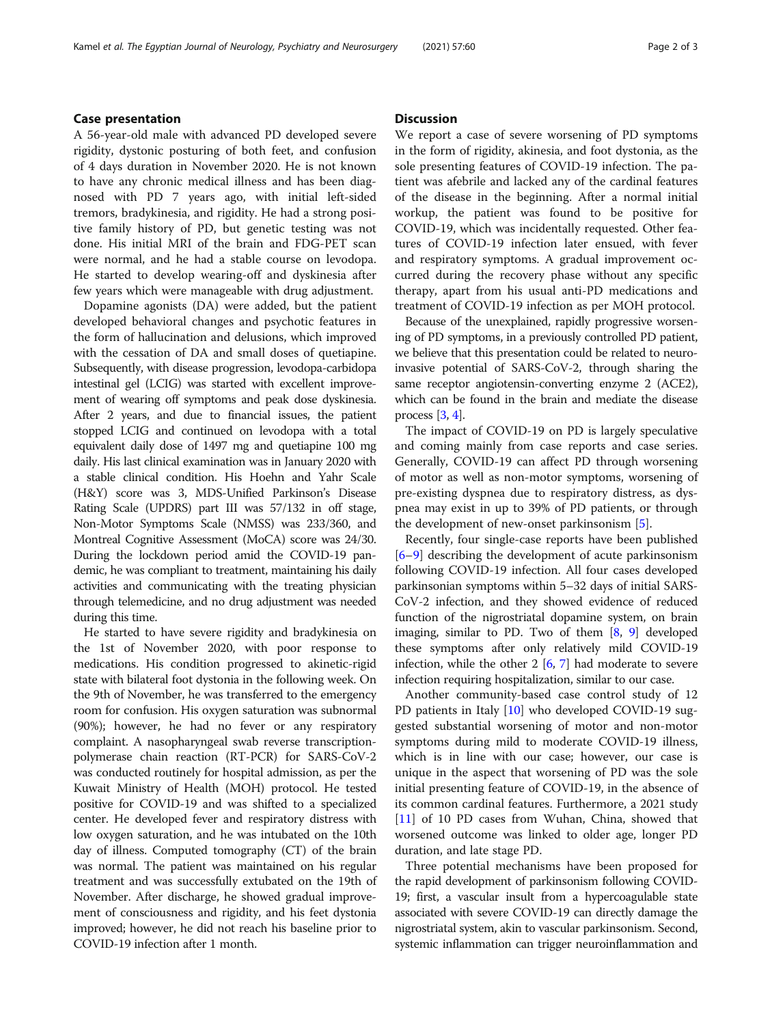## Case presentation

A 56-year-old male with advanced PD developed severe rigidity, dystonic posturing of both feet, and confusion of 4 days duration in November 2020. He is not known to have any chronic medical illness and has been diagnosed with PD 7 years ago, with initial left-sided tremors, bradykinesia, and rigidity. He had a strong positive family history of PD, but genetic testing was not done. His initial MRI of the brain and FDG-PET scan were normal, and he had a stable course on levodopa. He started to develop wearing-off and dyskinesia after few years which were manageable with drug adjustment.

Dopamine agonists (DA) were added, but the patient developed behavioral changes and psychotic features in the form of hallucination and delusions, which improved with the cessation of DA and small doses of quetiapine. Subsequently, with disease progression, levodopa-carbidopa intestinal gel (LCIG) was started with excellent improvement of wearing off symptoms and peak dose dyskinesia. After 2 years, and due to financial issues, the patient stopped LCIG and continued on levodopa with a total equivalent daily dose of 1497 mg and quetiapine 100 mg daily. His last clinical examination was in January 2020 with a stable clinical condition. His Hoehn and Yahr Scale (H&Y) score was 3, MDS-Unified Parkinson's Disease Rating Scale (UPDRS) part III was 57/132 in off stage, Non-Motor Symptoms Scale (NMSS) was 233/360, and Montreal Cognitive Assessment (MoCA) score was 24/30. During the lockdown period amid the COVID-19 pandemic, he was compliant to treatment, maintaining his daily activities and communicating with the treating physician through telemedicine, and no drug adjustment was needed during this time.

He started to have severe rigidity and bradykinesia on the 1st of November 2020, with poor response to medications. His condition progressed to akinetic-rigid state with bilateral foot dystonia in the following week. On the 9th of November, he was transferred to the emergency room for confusion. His oxygen saturation was subnormal (90%); however, he had no fever or any respiratory complaint. A nasopharyngeal swab reverse transcriptionpolymerase chain reaction (RT-PCR) for SARS-CoV-2 was conducted routinely for hospital admission, as per the Kuwait Ministry of Health (MOH) protocol. He tested positive for COVID-19 and was shifted to a specialized center. He developed fever and respiratory distress with low oxygen saturation, and he was intubated on the 10th day of illness. Computed tomography (CT) of the brain was normal. The patient was maintained on his regular treatment and was successfully extubated on the 19th of November. After discharge, he showed gradual improvement of consciousness and rigidity, and his feet dystonia improved; however, he did not reach his baseline prior to COVID-19 infection after 1 month.

## **Discussion**

We report a case of severe worsening of PD symptoms in the form of rigidity, akinesia, and foot dystonia, as the sole presenting features of COVID-19 infection. The patient was afebrile and lacked any of the cardinal features of the disease in the beginning. After a normal initial workup, the patient was found to be positive for COVID-19, which was incidentally requested. Other features of COVID-19 infection later ensued, with fever and respiratory symptoms. A gradual improvement occurred during the recovery phase without any specific therapy, apart from his usual anti-PD medications and treatment of COVID-19 infection as per MOH protocol.

Because of the unexplained, rapidly progressive worsening of PD symptoms, in a previously controlled PD patient, we believe that this presentation could be related to neuroinvasive potential of SARS-CoV-2, through sharing the same receptor angiotensin-converting enzyme 2 (ACE2), which can be found in the brain and mediate the disease process  $[3, 4]$  $[3, 4]$  $[3, 4]$  $[3, 4]$ .

The impact of COVID-19 on PD is largely speculative and coming mainly from case reports and case series. Generally, COVID-19 can affect PD through worsening of motor as well as non-motor symptoms, worsening of pre-existing dyspnea due to respiratory distress, as dyspnea may exist in up to 39% of PD patients, or through the development of new-onset parkinsonism [\[5](#page-2-0)].

Recently, four single-case reports have been published [[6](#page-2-0)–[9\]](#page-2-0) describing the development of acute parkinsonism following COVID-19 infection. All four cases developed parkinsonian symptoms within 5–32 days of initial SARS-CoV-2 infection, and they showed evidence of reduced function of the nigrostriatal dopamine system, on brain imaging, similar to PD. Two of them  $[8, 9]$  $[8, 9]$  $[8, 9]$  $[8, 9]$  developed these symptoms after only relatively mild COVID-19 infection, while the other  $2 \times 6$ , [7\]](#page-2-0) had moderate to severe infection requiring hospitalization, similar to our case.

Another community-based case control study of 12 PD patients in Italy [[10\]](#page-2-0) who developed COVID-19 suggested substantial worsening of motor and non-motor symptoms during mild to moderate COVID-19 illness, which is in line with our case; however, our case is unique in the aspect that worsening of PD was the sole initial presenting feature of COVID-19, in the absence of its common cardinal features. Furthermore, a 2021 study [[11\]](#page-2-0) of 10 PD cases from Wuhan, China, showed that worsened outcome was linked to older age, longer PD duration, and late stage PD.

Three potential mechanisms have been proposed for the rapid development of parkinsonism following COVID-19; first, a vascular insult from a hypercoagulable state associated with severe COVID-19 can directly damage the nigrostriatal system, akin to vascular parkinsonism. Second, systemic inflammation can trigger neuroinflammation and